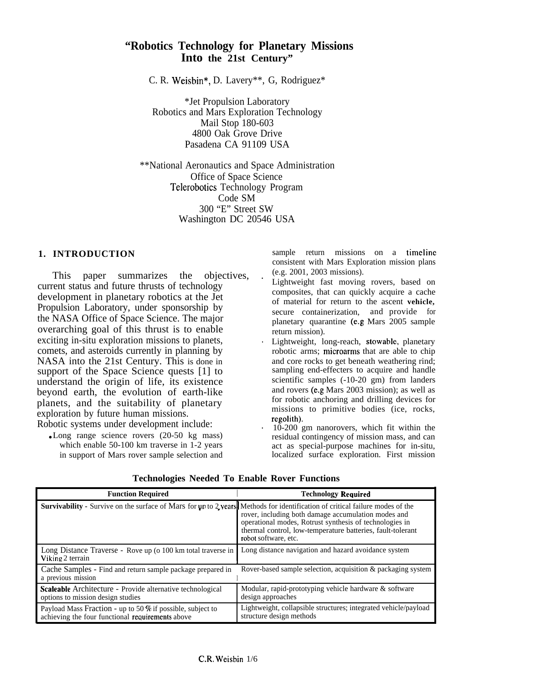# **"Robotics Technology for Planetary Missions Into the 21st Century"**

C. R. Weisbin\*, D. Lavery\*\*, G, Rodriguez\*

\*Jet Propulsion Laboratory Robotics and Mars Exploration Technology Mail Stop 180-603 4800 Oak Grove Drive Pasadena CA 91109 USA

\*\*National Aeronautics and Space Administration Office of Space Science Telerobotics Technology Program Code SM 300 "E" Street SW Washington DC 20546 USA

# **1. INTRODUCTION**

This paper summarizes the objectives, current status and future thrusts of technology development in planetary robotics at the Jet Propulsion Laboratory, under sponsorship by the NASA Office of Space Science. The major overarching goal of this thrust is to enable exciting in-situ exploration missions to planets, comets, and asteroids currently in planning by NASA into the 21st Century. This is done in support of the Space Science quests [1] to understand the origin of life, its existence beyond earth, the evolution of earth-like planets, and the suitability of planetary exploration by future human missions. Robotic systems under development include: .

• Long range science rovers  $(20-50 \text{ kg} \text{ mass})$ which enable 50-100 km traverse in 1-2 years in support of Mars rover sample selection and sample return missions on a timeline consistent with Mars Exploration mission plans (e.g. 2001, 2003 missions).

- Lightweight fast moving rovers, based on composites, that can quickly acquire a cache of material for return to the ascent **vehicle,** secure containerization, and provide for planetary quarantine (e.g Mars 2005 sample return mission).
- Lightweight, long-reach, stowable, planetary robotic arms; microarms that are able to chip and core rocks to get beneath weathering rind; sampling end-effecters to acquire and handle scientific samples (-10-20 gm) from landers and rovers (e.g Mars 2003 mission); as well as for robotic anchoring and drilling devices for missions to primitive bodies (ice, rocks, regolith).
- 10-200 gm nanorovers, which fit within the residual contingency of mission mass, and can act as special-purpose machines for in-situ, localized surface exploration. First mission

| <b>Function Required</b>                                                                                                             | <b>Technology Required</b>                                                                                                                                                                           |  |
|--------------------------------------------------------------------------------------------------------------------------------------|------------------------------------------------------------------------------------------------------------------------------------------------------------------------------------------------------|--|
| <b>Survivability</b> - Survive on the surface of Mars for up to 2 years. Methods for identification of critical failure modes of the | rover, including both damage accumulation modes and<br>operational modes, Rotrust synthesis of technologies in<br>thermal control, low-temperature batteries, fault-tolerant<br>robot software, etc. |  |
| Long Distance Traverse - Rove up (o 100 km total traverse in<br>Viking 2 terrain                                                     | Long distance navigation and hazard avoidance system                                                                                                                                                 |  |
| Cache Samples - Find and return sample package prepared in<br>a previous mission                                                     | Rover-based sample selection, acquisition & packaging system                                                                                                                                         |  |
| <b>Scaleable</b> Architecture - Provide alternative technological<br>options to mission design studies                               | Modular, rapid-prototyping vehicle hardware $\&$ software<br>design approaches                                                                                                                       |  |
| Payload Mass Fraction - up to 50 % if possible, subject to<br>achieving the four functional requirements above                       | Lightweight, collapsible structures; integrated vehicle/payload<br>structure design methods                                                                                                          |  |

**Technologies Needed To Enable Rover Functions**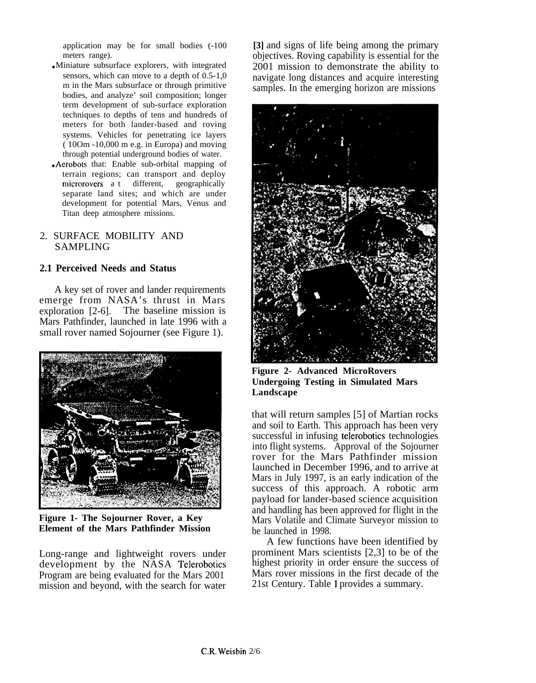application may be for small bodies (-100 meters range).

- Miniature subsurface explorers, with integrated sensors, which can move to a depth of 0.5-1,0 m in the Mars subsurface or through primitive bodies, and analyze' soil composition; longer term development of sub-surface exploration techniques to depths of tens and hundreds of meters for both lander-based and roving systems. Vehicles for penetrating ice layers ( 10Om -10,000 m e.g. in Europa) and moving through potential underground bodies of water.
- Aerobots that: Enable sub-orbital mapping of terrain regions; can transport and deploy microrovers a t different, geographically separate land sites; and which are under development for potential Mars, Venus and Titan deep atmosphere missions.

# 2. SURFACE MOBILITY AND SAMPLING

# **2.1 Perceived Needs and Status**

A key set of rover and lander requirements emerge from NASA's thrust in Mars exploration [2-6]. The baseline mission is Mars Pathfinder, launched in late 1996 with a small rover named Sojourner (see Figure 1).



**Figure 1- The Sojourner Rover, a Key Element of the Mars Pathfinder Mission**

Long-range and lightweight rovers under development by the NASA Telerobotics Program are being evaluated for the Mars 2001 mission and beyond, with the search for water

**[3]** and signs of life being among the primary objectives. Roving capability is essential for the 2001 mission to demonstrate the ability to navigate long distances and acquire interesting samples. In the emerging horizon are missions



**Figure 2- Advanced MicroRovers Undergoing Testing in Simulated Mars Landscape**

that will return samples [5] of Martian rocks and soil to Earth. This approach has been very successful in infusing telerobotics technologies into flight systems. Approval of the Sojourner rover for the Mars Pathfinder mission launched in December 1996, and to arrive at Mars in July 1997, is an early indication of the success of this approach. A robotic arm payload for lander-based science acquisition and handling has been approved for flight in the Mars Volatile and Climate Surveyor mission to be launched in 1998.

A few functions have been identified by prominent Mars scientists [2,3] to be of the highest priority in order ensure the success of Mars rover missions in the first decade of the 21st Century. Table 1 provides a summary.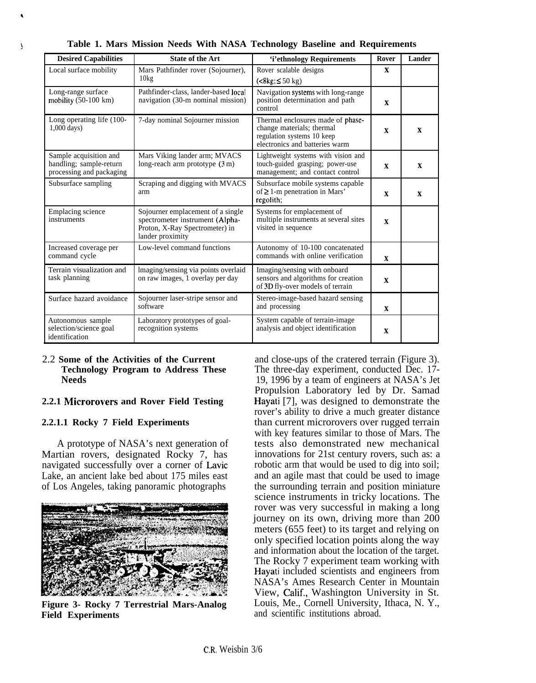| <b>Desired Capabilities</b>                                                   | <b>State of the Art</b>                                                                                                    | 'i'ethnology Requirements                                                                                                      | Rover        | Lander       |
|-------------------------------------------------------------------------------|----------------------------------------------------------------------------------------------------------------------------|--------------------------------------------------------------------------------------------------------------------------------|--------------|--------------|
| Local surface mobility                                                        | Mars Pathfinder rover (Sojourner),<br>10kg                                                                                 | Rover scalable designs<br>$(<8k\epsilon$ : $\leq$ 50 kg)                                                                       | X            |              |
| Long-range surface<br>mobility $(50-100 \text{ km})$                          | Pathfinder-class, lander-based local<br>navigation (30-m nominal mission)                                                  | Navigation systems with long-range<br>position determination and path<br>control                                               | X            |              |
| Long operating life (100-<br>$1,000$ days)                                    | 7-day nominal Sojourner mission                                                                                            | Thermal enclosures made of phase-<br>change materials; thermal<br>regulation systems 10 keep<br>electronics and batteries warm | $\mathbf x$  | $\mathbf{X}$ |
| Sample acquisition and<br>handling; sample-return<br>processing and packaging | Mars Viking lander arm; MVACS<br>long-reach arm prototype $(3 \text{ m})$                                                  | Lightweight systems with vision and<br>touch-guided grasping; power-use<br>management; and contact control                     | $\mathbf{x}$ | $\mathbf{x}$ |
| Subsurface sampling                                                           | Scraping and digging with MVACS<br>arm                                                                                     | Subsurface mobile systems capable<br>of $\geq 1$ -m penetration in Mars'<br>regolith;                                          | $\mathbf{x}$ | $\mathbf{x}$ |
| Emplacing science<br>instruments                                              | Sojourner emplacement of a single<br>spectrometer instrument (Alpha-<br>Proton, X-Ray Spectrometer) in<br>lander proximity | Systems for emplacement of<br>multiple instruments at several sites<br>visited in sequence                                     | $\mathbf{x}$ |              |
| Increased coverage per<br>command cycle                                       | Low-level command functions                                                                                                | Autonomy of 10-100 concatenated<br>commands with online verification                                                           | $\mathbf{x}$ |              |
| Terrain visualization and<br>task planning                                    | Imaging/sensing via points overlaid<br>on raw images, 1 overlay per day                                                    | Imaging/sensing with onboard<br>sensors and algorithms for creation<br>of 3D fly-over models of terrain                        | $\mathbf x$  |              |
| Surface hazard avoidance                                                      | Sojourner laser-stripe sensor and<br>software                                                                              | Stereo-image-based hazard sensing<br>and processing                                                                            | $\mathbf x$  |              |
| Autonomous sample<br>selection/science goal<br>identification                 | Laboratory prototypes of goal-<br>recognition systems                                                                      | System capable of terrain-image<br>analysis and object identification                                                          | $\mathbf{X}$ |              |

\ **Table 1. Mars Mission Needs With NASA Technology Baseline and Requirements**

# 2.2 **Some of the Activities of the Current Technology Program to Address These Needs**

# **2.2.1 Microrovers and Rover Field Testing**

## **2.2.1.1 Rocky 7 Field Experiments**

A prototype of NASA's next generation of Martian rovers, designated Rocky 7, has navigated successfully over a corner of Lavic Lake, an ancient lake bed about 175 miles east of Los Angeles, taking panoramic photographs



**Figure 3- Rocky 7 Terrestrial Mars-Analog Field Experiments**

and close-ups of the cratered terrain (Figure 3). The three-day experiment, conducted Dec. 17- 19, 1996 by a team of engineers at NASA's Jet Propulsion Laboratory led by Dr. Samad Hayati [7], was designed to demonstrate the rover's ability to drive a much greater distance than current microrovers over rugged terrain with key features similar to those of Mars. The tests also demonstrated new mechanical innovations for 21st century rovers, such as: a robotic arm that would be used to dig into soil; and an agile mast that could be used to image the surrounding terrain and position miniature science instruments in tricky locations. The rover was very successful in making a long journey on its own, driving more than 200 meters (655 feet) to its target and relying on only specified location points along the way and information about the location of the target. The Rocky 7 experiment team working with Hayati included scientists and engineers from NASA's Ames Research Center in Mountain View, Calif., Washington University in St. Louis, Me., Cornell University, Ithaca, N. Y., and scientific institutions abroad.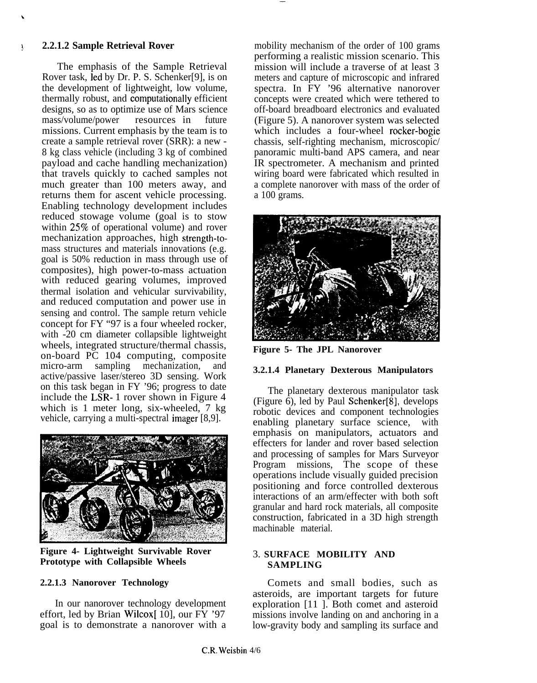\

#### <sup>~</sup> **2.2.1.2 Sample Retrieval Rover**

The emphasis of the Sample Retrieval Rover task, led by Dr. P. S. Schenker[9], is on the development of lightweight, low volume, thermally robust, and computationally efficient designs, so as to optimize use of Mars science mass/volume/power resources in future missions. Current emphasis by the team is to create a sample retrieval rover (SRR): a new - 8 kg class vehicle (including 3 kg of combined payload and cache handling mechanization) that travels quickly to cached samples not much greater than 100 meters away, and returns them for ascent vehicle processing. Enabling technology development includes reduced stowage volume (goal is to stow within 25% of operational volume) and rover mechanization approaches, high strength-tomass structures and materials innovations (e.g. goal is 50% reduction in mass through use of composites), high power-to-mass actuation with reduced gearing volumes, improved thermal isolation and vehicular survivability, and reduced computation and power use in sensing and control. The sample return vehicle concept for FY "97 is a four wheeled rocker, with -20 cm diameter collapsible lightweight wheels, integrated structure/thermal chassis, on-board PC 104 computing, composite micro-arm sampling mechanization, and active/passive laser/stereo 3D sensing. Work on this task began in FY '96; progress to date include the LSR- 1 rover shown in Figure 4 which is 1 meter long, six-wheeled, 7 kg vehicle, carrying a multi-spectral imager [8,9].



**Figure 4- Lightweight Survivable Rover Prototype with Collapsible Wheels**

# **2.2.1.3 Nanorover Technology**

In our nanorover technology development effort, led by Brian Wilcox[ $10$ ], our FY '97 goal is to demonstrate a nanorover with a mobility mechanism of the order of 100 grams performing a realistic mission scenario. This mission will include a traverse of at least 3 meters and capture of microscopic and infrared spectra. In FY '96 alternative nanorover concepts were created which were tethered to off-board breadboard electronics and evaluated (Figure 5). A nanorover system was selected which includes a four-wheel rocker-bogie chassis, self-righting mechanism, microscopic/ panoramic multi-band APS camera, and near IR spectrometer. A mechanism and printed wiring board were fabricated which resulted in a complete nanorover with mass of the order of a 100 grams.

—



**Figure 5- The JPL Nanorover**

#### **3.2.1.4 Planetary Dexterous Manipulators**

The planetary dexterous manipulator task (Figure 6), led by Paul Schenker[8], develops robotic devices and component technologies enabling planetary surface science, with emphasis on manipulators, actuators and effecters for lander and rover based selection and processing of samples for Mars Surveyor Program missions, The scope of these operations include visually guided precision positioning and force controlled dexterous interactions of an arm/effecter with both soft granular and hard rock materials, all composite construction, fabricated in a 3D high strength machinable material.

# 3. **SURFACE MOBILITY AND SAMPLING**

Comets and small bodies, such as asteroids, are important targets for future exploration [11 ]. Both comet and asteroid missions involve landing on and anchoring in a low-gravity body and sampling its surface and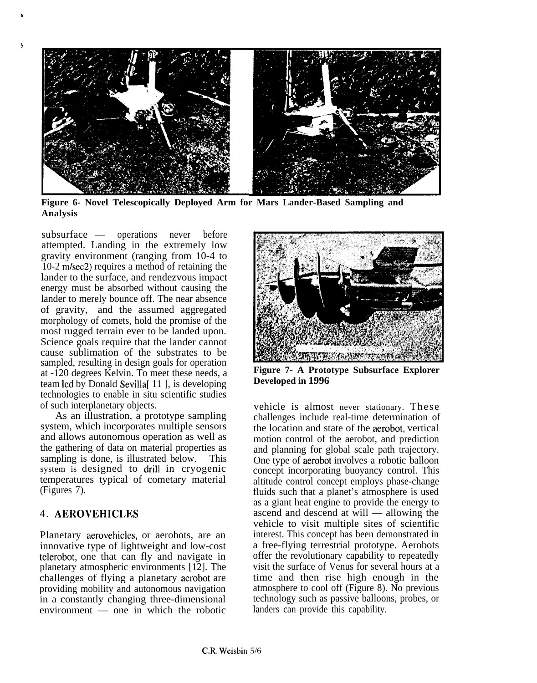

**Figure 6- Novel Telescopically Deployed Arm for Mars Lander-Based Sampling and Analysis**

subsurface — operations never before attempted. Landing in the extremely low gravity environment (ranging from 10-4 to 10-2 m/sec2) requires a method of retaining the lander to the surface, and rendezvous impact energy must be absorbed without causing the lander to merely bounce off. The near absence of gravity, and the assumed aggregated morphology of comets, hold the promise of the most rugged terrain ever to be landed upon. Science goals require that the lander cannot cause sublimation of the substrates to be sampled, resulting in design goals for operation at -120 degrees Kelvin. To meet these needs, a team led by Donald Sevilla<sup>[11]</sup>, is developing technologies to enable in situ scientific studies of such interplanetary objects.

As an illustration, a prototype sampling system, which incorporates multiple sensors and allows autonomous operation as well as the gathering of data on material properties as sampling is done, is illustrated below. This system is designed to drill in cryogenic temperatures typical of cometary material (Figures 7).

# 4. **AEROVEHICLES**

b

Planetary aerovehicles, or aerobots, are an innovative type of lightweight and low-cost telerobot, one that can fly and navigate in planetary atmospheric environments [12]. The challenges of flying a planetary aerobot are providing mobility and autonomous navigation in a constantly changing three-dimensional environment — one in which the robotic



**Figure 7- A Prototype Subsurface Explorer Developed in 1996**

vehicle is almost never stationary. These challenges include real-time determination of the location and state of the aerobot, vertical motion control of the aerobot, and prediction and planning for global scale path trajectory. One type of aerobot involves a robotic balloon concept incorporating buoyancy control. This altitude control concept employs phase-change fluids such that a planet's atmosphere is used as a giant heat engine to provide the energy to ascend and descend at will — allowing the vehicle to visit multiple sites of scientific interest. This concept has been demonstrated in a free-flying terrestrial prototype. Aerobots offer the revolutionary capability to repeatedly visit the surface of Venus for several hours at a time and then rise high enough in the atmosphere to cool off (Figure 8). No previous technology such as passive balloons, probes, or landers can provide this capability.